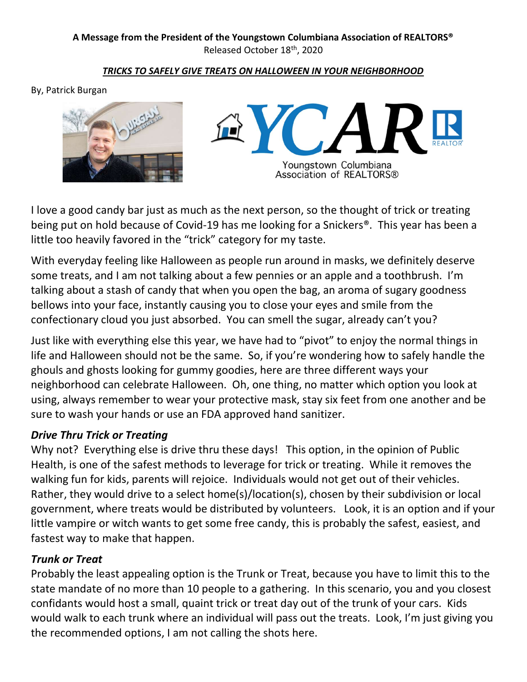#### **A Message from the President of the Youngstown Columbiana Association of REALTORS®**  Released October 18th, 2020

#### *TRICKS TO SAFELY GIVE TREATS ON HALLOWEEN IN YOUR NEIGHBORHOOD*

By, Patrick Burgan





I love a good candy bar just as much as the next person, so the thought of trick or treating being put on hold because of Covid-19 has me looking for a Snickers®. This year has been a little too heavily favored in the "trick" category for my taste.

With everyday feeling like Halloween as people run around in masks, we definitely deserve some treats, and I am not talking about a few pennies or an apple and a toothbrush. I'm talking about a stash of candy that when you open the bag, an aroma of sugary goodness bellows into your face, instantly causing you to close your eyes and smile from the confectionary cloud you just absorbed. You can smell the sugar, already can't you?

Just like with everything else this year, we have had to "pivot" to enjoy the normal things in life and Halloween should not be the same. So, if you're wondering how to safely handle the ghouls and ghosts looking for gummy goodies, here are three different ways your neighborhood can celebrate Halloween. Oh, one thing, no matter which option you look at using, always remember to wear your protective mask, stay six feet from one another and be sure to wash your hands or use an FDA approved hand sanitizer.

## *Drive Thru Trick or Treating*

Why not? Everything else is drive thru these days! This option, in the opinion of Public Health, is one of the safest methods to leverage for trick or treating. While it removes the walking fun for kids, parents will rejoice. Individuals would not get out of their vehicles. Rather, they would drive to a select home(s)/location(s), chosen by their subdivision or local government, where treats would be distributed by volunteers. Look, it is an option and if your little vampire or witch wants to get some free candy, this is probably the safest, easiest, and fastest way to make that happen.

## *Trunk or Treat*

Probably the least appealing option is the Trunk or Treat, because you have to limit this to the state mandate of no more than 10 people to a gathering. In this scenario, you and you closest confidants would host a small, quaint trick or treat day out of the trunk of your cars. Kids would walk to each trunk where an individual will pass out the treats. Look, I'm just giving you the recommended options, I am not calling the shots here.